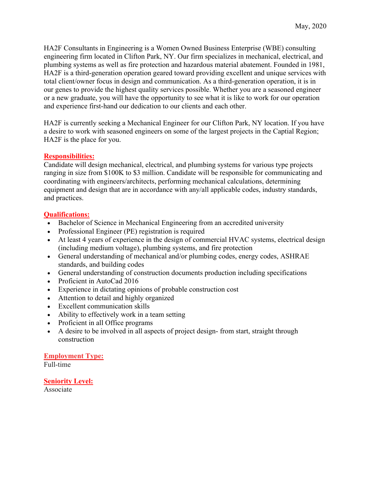HA2F Consultants in Engineering is a Women Owned Business Enterprise (WBE) consulting engineering firm located in Clifton Park, NY. Our firm specializes in mechanical, electrical, and plumbing systems as well as fire protection and hazardous material abatement. Founded in 1981, HA2F is a third-generation operation geared toward providing excellent and unique services with total client/owner focus in design and communication. As a third-generation operation, it is in our genes to provide the highest quality services possible. Whether you are a seasoned engineer or a new graduate, you will have the opportunity to see what it is like to work for our operation and experience first-hand our dedication to our clients and each other.

HA2F is currently seeking a Mechanical Engineer for our Clifton Park, NY location. If you have a desire to work with seasoned engineers on some of the largest projects in the Captial Region; HA2F is the place for you.

## **Responsibilities:**

Candidate will design mechanical, electrical, and plumbing systems for various type projects ranging in size from \$100K to \$3 million. Candidate will be responsible for communicating and coordinating with engineers/architects, performing mechanical calculations, determining equipment and design that are in accordance with any/all applicable codes, industry standards, and practices.

## **Qualifications:**

- Bachelor of Science in Mechanical Engineering from an accredited university
- Professional Engineer (PE) registration is required
- At least 4 years of experience in the design of commercial HVAC systems, electrical design (including medium voltage), plumbing systems, and fire protection
- General understanding of mechanical and/or plumbing codes, energy codes, ASHRAE standards, and building codes
- General understanding of construction documents production including specifications
- Proficient in AutoCad 2016
- Experience in dictating opinions of probable construction cost
- Attention to detail and highly organized
- Excellent communication skills
- Ability to effectively work in a team setting
- Proficient in all Office programs
- A desire to be involved in all aspects of project design-from start, straight through construction

## **Employment Type:**

Full-time

## **Seniority Level:**

Associate